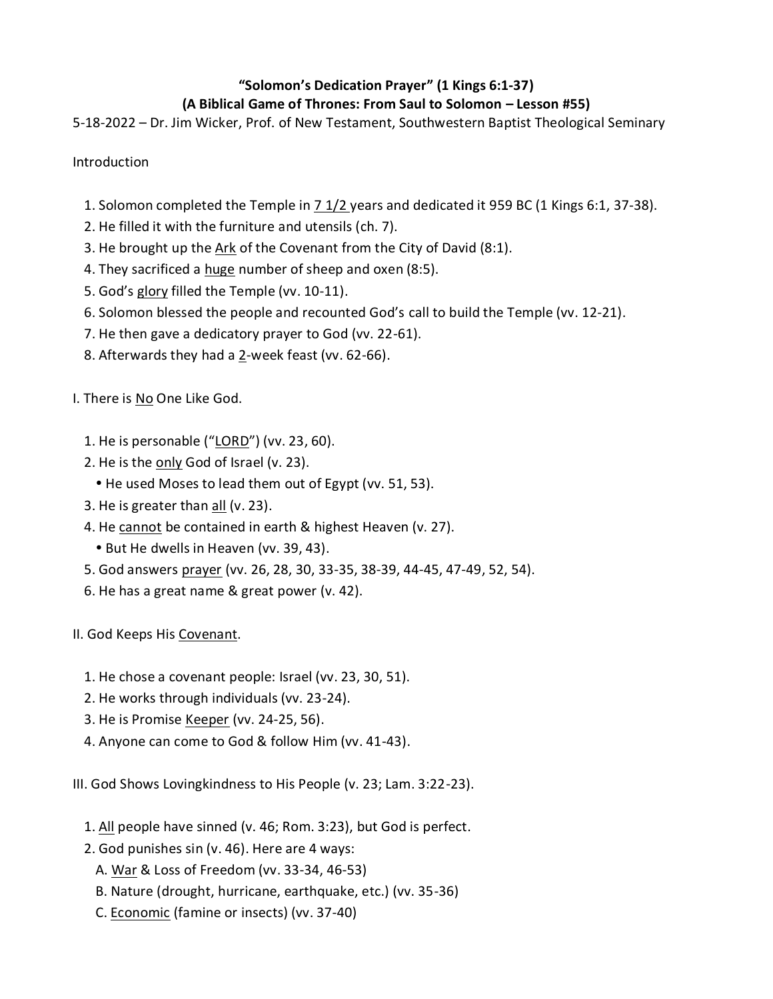## **"Solomon's Dedication Prayer" (1 Kings 6:1-37)**

## **(A Biblical Game of Thrones: From Saul to Solomon – Lesson #55)**

5-18-2022 – Dr. Jim Wicker, Prof. of New Testament, Southwestern Baptist Theological Seminary

Introduction

- 1. Solomon completed the Temple in 7 1/2 years and dedicated it 959 BC (1 Kings 6:1, 37-38).
- 2. He filled it with the furniture and utensils (ch. 7).
- 3. He brought up the Ark of the Covenant from the City of David (8:1).
- 4. They sacrificed a huge number of sheep and oxen (8:5).
- 5. God's glory filled the Temple (vv. 10-11).
- 6. Solomon blessed the people and recounted God's call to build the Temple (vv. 12-21).
- 7. He then gave a dedicatory prayer to God (vv. 22-61).
- 8. Afterwards they had a 2-week feast (vv. 62-66).

I. There is No One Like God.

- 1. He is personable ("LORD") (vv. 23, 60).
- 2. He is the only God of Israel (v. 23).
	- He used Moses to lead them out of Egypt (vv. 51, 53).
- 3. He is greater than all (v. 23).
- 4. He cannot be contained in earth & highest Heaven (v. 27).
	- But He dwells in Heaven (vv. 39, 43).
- 5. God answers prayer (vv. 26, 28, 30, 33-35, 38-39, 44-45, 47-49, 52, 54).
- 6. He has a great name & great power (v. 42).

II. God Keeps His Covenant.

- 1. He chose a covenant people: Israel (vv. 23, 30, 51).
- 2. He works through individuals (vv. 23-24).
- 3. He is Promise Keeper (vv. 24-25, 56).
- 4. Anyone can come to God & follow Him (vv. 41-43).

III. God Shows Lovingkindness to His People (v. 23; Lam. 3:22-23).

- 1. All people have sinned (v. 46; Rom. 3:23), but God is perfect.
- 2. God punishes sin (v. 46). Here are 4 ways:
	- A. War & Loss of Freedom (vv. 33-34, 46-53)
	- B. Nature (drought, hurricane, earthquake, etc.) (vv. 35-36)
	- C. Economic (famine or insects) (vv. 37-40)